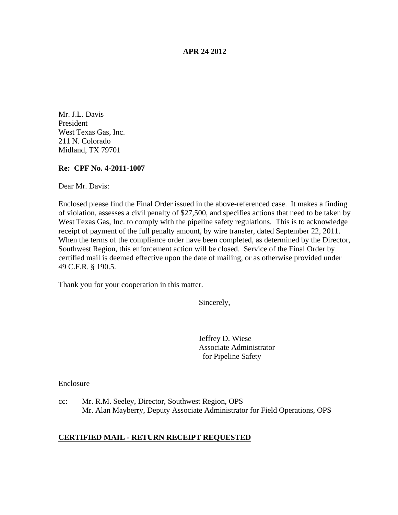#### **APR 24 2012**

Mr. J.L. Davis President West Texas Gas, Inc. 211 N. Colorado Midland, TX 79701

### **Re: CPF No. 4-2011-1007**

Dear Mr. Davis:

Enclosed please find the Final Order issued in the above-referenced case. It makes a finding of violation, assesses a civil penalty of \$27,500, and specifies actions that need to be taken by West Texas Gas, Inc. to comply with the pipeline safety regulations. This is to acknowledge receipt of payment of the full penalty amount, by wire transfer, dated September 22, 2011. When the terms of the compliance order have been completed, as determined by the Director, Southwest Region, this enforcement action will be closed. Service of the Final Order by certified mail is deemed effective upon the date of mailing, or as otherwise provided under 49 C.F.R. § 190.5.

Thank you for your cooperation in this matter.

Sincerely,

Jeffrey D. Wiese Associate Administrator for Pipeline Safety

**Enclosure** 

cc: Mr. R.M. Seeley, Director, Southwest Region, OPS Mr. Alan Mayberry, Deputy Associate Administrator for Field Operations, OPS

### **CERTIFIED MAIL - RETURN RECEIPT REQUESTED**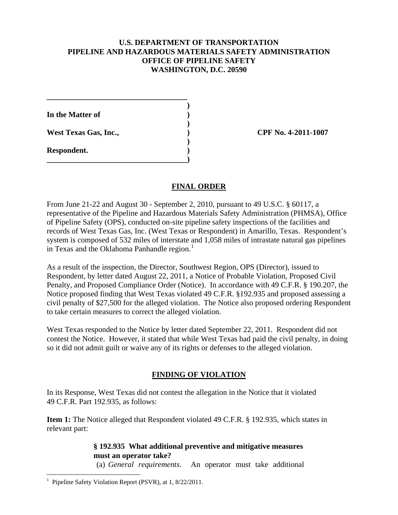### **U.S. DEPARTMENT OF TRANSPORTATION PIPELINE AND HAZARDOUS MATERIALS SAFETY ADMINISTRATION OFFICE OF PIPELINE SAFETY WASHINGTON, D.C. 20590**

**)**

**)**

**)**

**In the Matter of )**

**West Texas Gas, Inc., ) CPF No. 4-2011-1007**

**\_\_\_\_\_\_\_\_\_\_\_\_\_\_\_\_\_\_\_\_\_\_\_\_\_\_\_\_\_\_\_\_\_\_\_\_**

**\_\_\_\_\_\_\_\_\_\_\_\_\_\_\_\_\_\_\_\_\_\_\_\_\_\_\_\_\_\_\_\_\_\_\_\_)**

**Respondent. )**

# **FINAL ORDER**

From June 21-22 and August 30 - September 2, 2010, pursuant to 49 U.S.C. § 60117, a representative of the Pipeline and Hazardous Materials Safety Administration (PHMSA), Office of Pipeline Safety (OPS), conducted on-site pipeline safety inspections of the facilities and records of West Texas Gas, Inc. (West Texas or Respondent) in Amarillo, Texas. Respondent's system is composed of 532 miles of interstate and 1,058 miles of intrastate natural gas pipelines in Texas and the Oklahoma Panhandle region. $<sup>1</sup>$  $<sup>1</sup>$  $<sup>1</sup>$ </sup>

As a result of the inspection, the Director, Southwest Region, OPS (Director), issued to Respondent, by letter dated August 22, 2011, a Notice of Probable Violation, Proposed Civil Penalty, and Proposed Compliance Order (Notice). In accordance with 49 C.F.R. § 190.207, the Notice proposed finding that West Texas violated 49 C.F.R. §192.935 and proposed assessing a civil penalty of \$27,500 for the alleged violation. The Notice also proposed ordering Respondent to take certain measures to correct the alleged violation.

West Texas responded to the Notice by letter dated September 22, 2011. Respondent did not contest the Notice. However, it stated that while West Texas had paid the civil penalty, in doing so it did not admit guilt or waive any of its rights or defenses to the alleged violation.

# **FINDING OF VIOLATION**

In its Response, West Texas did not contest the allegation in the Notice that it violated 49 C.F.R. Part 192.935, as follows:

**Item 1:** The Notice alleged that Respondent violated 49 C.F.R. § 192.935, which states in relevant part:

## **§ 192.935 What additional preventive and mitigative measures must an operator take?**

(a) *General requirements*. An operator must take additional

<span id="page-1-0"></span> $\frac{1}{1}$ <sup>1</sup> Pipeline Safety Violation Report (PSVR), at  $1, 8/22/2011$ .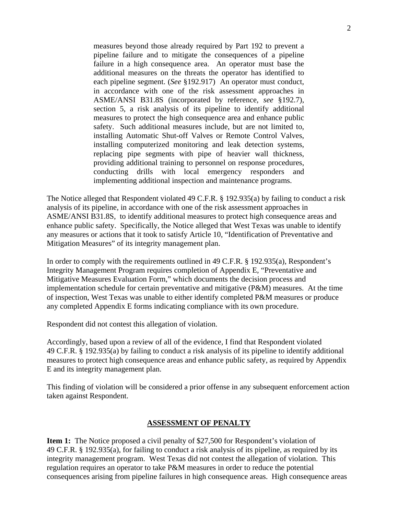measures beyond those already required by Part 192 to prevent a pipeline failure and to mitigate the consequences of a pipeline failure in a high consequence area. An operator must base the additional measures on the threats the operator has identified to each pipeline segment. (*See* §192.917) An operator must conduct, in accordance with one of the risk assessment approaches in ASME/ANSI B31.8S (incorporated by reference, *see* §192.7), section 5, a risk analysis of its pipeline to identify additional measures to protect the high consequence area and enhance public safety. Such additional measures include, but are not limited to, installing Automatic Shut-off Valves or Remote Control Valves, installing computerized monitoring and leak detection systems, replacing pipe segments with pipe of heavier wall thickness, providing additional training to personnel on response procedures, conducting drills with local emergency responders and implementing additional inspection and maintenance programs.

The Notice alleged that Respondent violated 49 C.F.R. § 192.935(a) by failing to conduct a risk analysis of its pipeline, in accordance with one of the risk assessment approaches in ASME/ANSI B31.8S, to identify additional measures to protect high consequence areas and enhance public safety. Specifically, the Notice alleged that West Texas was unable to identify any measures or actions that it took to satisfy Article 10, "Identification of Preventative and Mitigation Measures" of its integrity management plan.

In order to comply with the requirements outlined in 49 C.F.R. § 192.935(a), Respondent's Integrity Management Program requires completion of Appendix E, "Preventative and Mitigative Measures Evaluation Form," which documents the decision process and implementation schedule for certain preventative and mitigative (P&M) measures. At the time of inspection, West Texas was unable to either identify completed P&M measures or produce any completed Appendix E forms indicating compliance with its own procedure.

Respondent did not contest this allegation of violation.

Accordingly, based upon a review of all of the evidence, I find that Respondent violated 49 C.F.R. § 192.935(a) by failing to conduct a risk analysis of its pipeline to identify additional measures to protect high consequence areas and enhance public safety, as required by Appendix E and its integrity management plan.

This finding of violation will be considered a prior offense in any subsequent enforcement action taken against Respondent.

#### **ASSESSMENT OF PENALTY**

**Item 1:** The Notice proposed a civil penalty of \$27,500 for Respondent's violation of 49 C.F.R. § 192.935(a), for failing to conduct a risk analysis of its pipeline, as required by its integrity management program. West Texas did not contest the allegation of violation. This regulation requires an operator to take P&M measures in order to reduce the potential consequences arising from pipeline failures in high consequence areas. High consequence areas